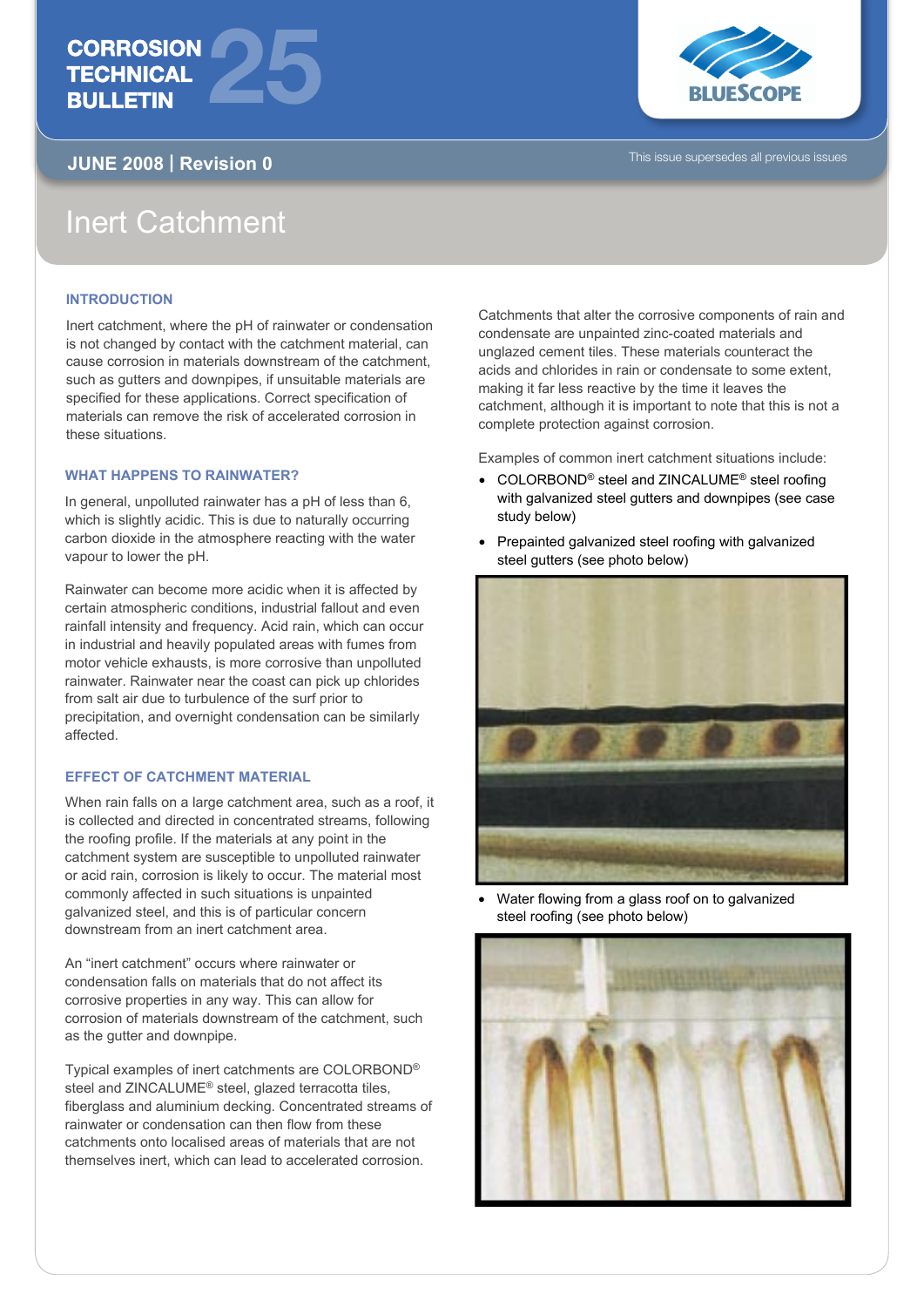# **CORROSION TECHNICAL** CORROSION<br>TECHNICAL<br>BULLETIN

**JUNE 2008 | Revision 0** This issue supersedes all previous issues



## Inert Catchment

## **INTRODUCTION**

Inert catchment, where the pH of rainwater or condensation is not changed by contact with the catchment material, can cause corrosion in materials downstream of the catchment, such as gutters and downpipes, if unsuitable materials are specified for these applications. Correct specification of materials can remove the risk of accelerated corrosion in these situations.

## **WHAT HAPPENS TO RAINWATER?**

In general, unpolluted rainwater has a pH of less than 6, which is slightly acidic. This is due to naturally occurring carbon dioxide in the atmosphere reacting with the water vapour to lower the pH.

Rainwater can become more acidic when it is affected by certain atmospheric conditions, industrial fallout and even rainfall intensity and frequency. Acid rain, which can occur in industrial and heavily populated areas with fumes from motor vehicle exhausts, is more corrosive than unpolluted rainwater. Rainwater near the coast can pick up chlorides from salt air due to turbulence of the surf prior to precipitation, and overnight condensation can be similarly affected.

## **EFFECT OF CATCHMENT MATERIAL**

When rain falls on a large catchment area, such as a roof, it is collected and directed in concentrated streams, following the roofing profile. If the materials at any point in the catchment system are susceptible to unpolluted rainwater or acid rain, corrosion is likely to occur. The material most commonly affected in such situations is unpainted galvanized steel, and this is of particular concern downstream from an inert catchment area.

An "inert catchment" occurs where rainwater or condensation falls on materials that do not affect its corrosive properties in any way. This can allow for corrosion of materials downstream of the catchment, such as the gutter and downpipe.

Typical examples of inert catchments are COLORBOND® steel and ZINCALUME® steel, glazed terracotta tiles, fiberglass and aluminium decking. Concentrated streams of rainwater or condensation can then flow from these catchments onto localised areas of materials that are not themselves inert, which can lead to accelerated corrosion.

Catchments that alter the corrosive components of rain and condensate are unpainted zinc-coated materials and unglazed cement tiles. These materials counteract the acids and chlorides in rain or condensate to some extent, making it far less reactive by the time it leaves the catchment, although it is important to note that this is not a complete protection against corrosion.

Examples of common inert catchment situations include:

- COLORBOND<sup>®</sup> steel and ZINCALUME<sup>®</sup> steel roofing with galvanized steel gutters and downpipes (see case study below)
- Prepainted galvanized steel roofing with galvanized steel gutters (see photo below)



• Water flowing from a glass roof on to galvanized steel roofing (see photo below)

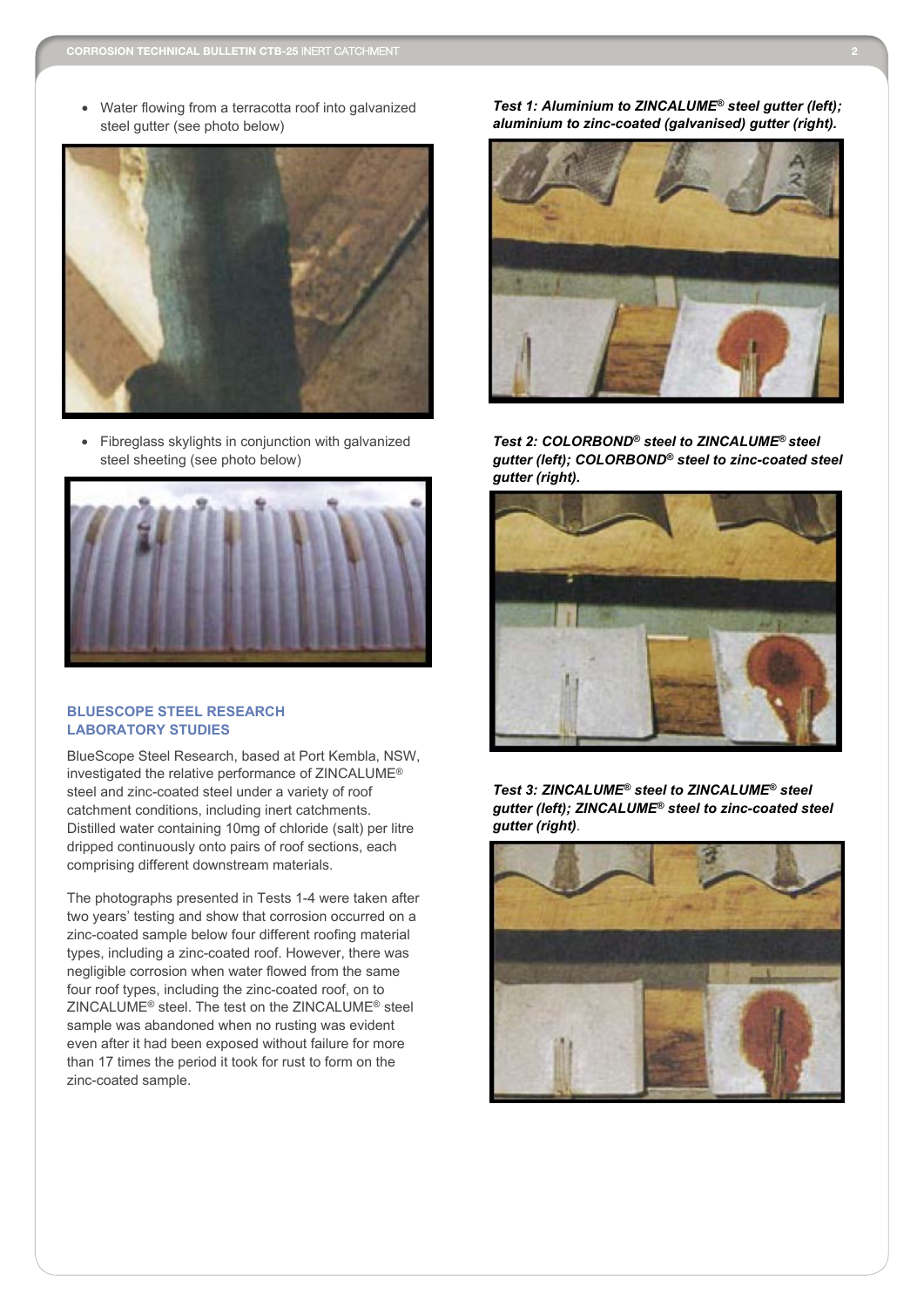• Water flowing from a terracotta roof into galvanized steel gutter (see photo below)



• Fibreglass skylights in conjunction with galvanized steel sheeting (see photo below)



## **BLUESCOPE STEEL RESEARCH LABORATORY STUDIES**

BlueScope Steel Research, based at Port Kembla, NSW, investigated the relative performance of ZINCALUME® steel and zinc-coated steel under a variety of roof catchment conditions, including inert catchments. Distilled water containing 10mg of chloride (salt) per litre dripped continuously onto pairs of roof sections, each comprising different downstream materials.

The photographs presented in Tests 1-4 were taken after two years' testing and show that corrosion occurred on a zinc-coated sample below four different roofing material types, including a zinc-coated roof. However, there was negligible corrosion when water flowed from the same four roof types, including the zinc-coated roof, on to ZINCALUME® steel. The test on the ZINCALUME® steel sample was abandoned when no rusting was evident even after it had been exposed without failure for more than 17 times the period it took for rust to form on the zinc-coated sample.

*Test 1: Aluminium to ZINCALUME® steel gutter (left); aluminium to zinc-coated (galvanised) gutter (right).*



*Test 2: COLORBOND® steel to ZINCALUME® steel gutter (left); COLORBOND® steel to zinc-coated steel gutter (right).*



*Test 3: ZINCALUME® steel to ZINCALUME® steel gutter (left); ZINCALUME® steel to zinc-coated steel gutter (right)*.